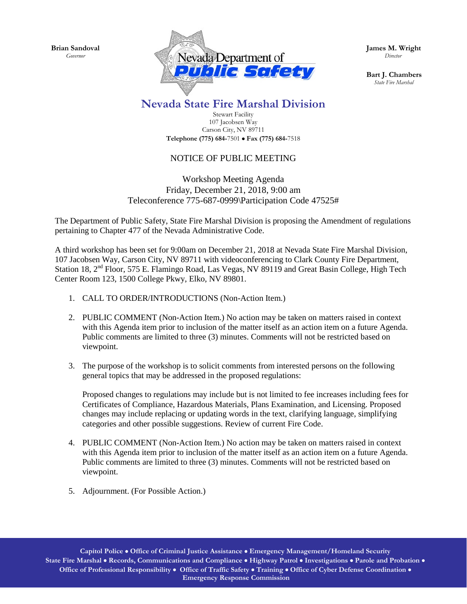**Brian Sandoval** *Governor*



**James M. Wright**  *Director*

**Bart J. Chambers**  *State Fire Marshal*

## **Nevada State Fire Marshal Division**

Stewart Facility 107 Jacobsen Way Carson City, NV 89711 **Telephone (775) 684-**7501 • **Fax (775) 684-**7518

## NOTICE OF PUBLIC MEETING

## Workshop Meeting Agenda Friday, December 21, 2018, 9:00 am Teleconference 775-687-0999\Participation Code 47525#

The Department of Public Safety, State Fire Marshal Division is proposing the Amendment of regulations pertaining to Chapter 477 of the Nevada Administrative Code.

A third workshop has been set for 9:00am on December 21, 2018 at Nevada State Fire Marshal Division, 107 Jacobsen Way, Carson City, NV 89711 with videoconferencing to Clark County Fire Department, Station 18, 2<sup>nd</sup> Floor, 575 E. Flamingo Road, Las Vegas, NV 89119 and Great Basin College, High Tech Center Room 123, 1500 College Pkwy, Elko, NV 89801.

- 1. CALL TO ORDER/INTRODUCTIONS (Non-Action Item.)
- 2. PUBLIC COMMENT (Non-Action Item.) No action may be taken on matters raised in context with this Agenda item prior to inclusion of the matter itself as an action item on a future Agenda. Public comments are limited to three (3) minutes. Comments will not be restricted based on viewpoint.
- 3. The purpose of the workshop is to solicit comments from interested persons on the following general topics that may be addressed in the proposed regulations:

Proposed changes to regulations may include but is not limited to fee increases including fees for Certificates of Compliance, Hazardous Materials, Plans Examination, and Licensing. Proposed changes may include replacing or updating words in the text, clarifying language, simplifying categories and other possible suggestions. Review of current Fire Code.

- 4. PUBLIC COMMENT (Non-Action Item.) No action may be taken on matters raised in context with this Agenda item prior to inclusion of the matter itself as an action item on a future Agenda. Public comments are limited to three (3) minutes. Comments will not be restricted based on viewpoint.
- 5. Adjournment. (For Possible Action.)